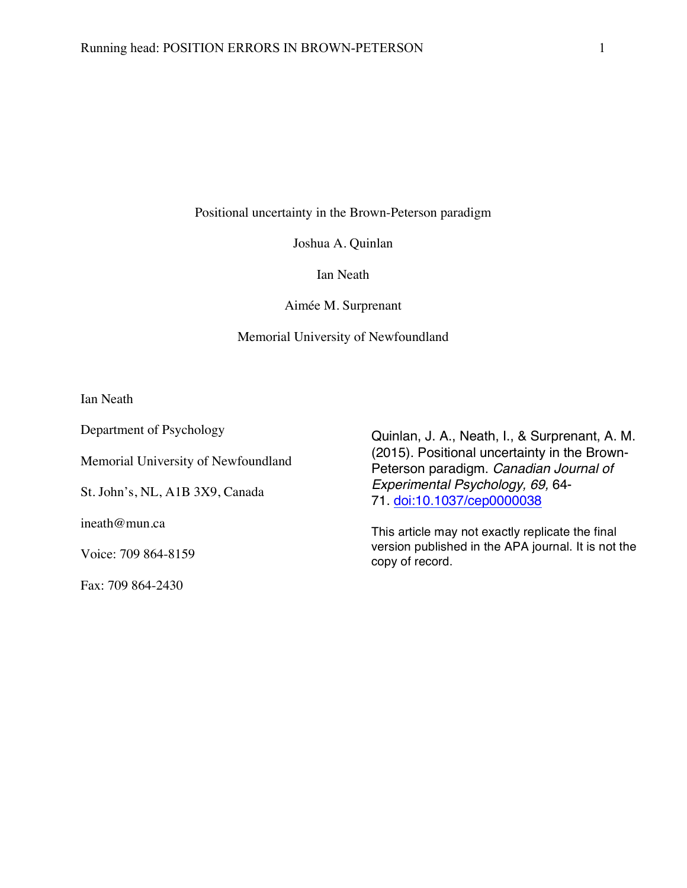Positional uncertainty in the Brown-Peterson paradigm

Joshua A. Quinlan

Ian Neath

Aimée M. Surprenant

#### Memorial University of Newfoundland

Ian Neath

Department of Psychology

Memorial University of Newfoundland

St. John's, NL, A1B 3X9, Canada

ineath@mun.ca

Voice: 709 864-8159

Fax: 709 864-2430

Quinlan, J. A., Neath, I., & Surprenant, A. M. (2015). Positional uncertainty in the Brown-Peterson paradigm. *Canadian Journal of Experimental Psychology, 69,* 64- 71. doi:10.1037/cep0000038

This article may not exactly replicate the final version published in the APA journal. It is not the copy of record.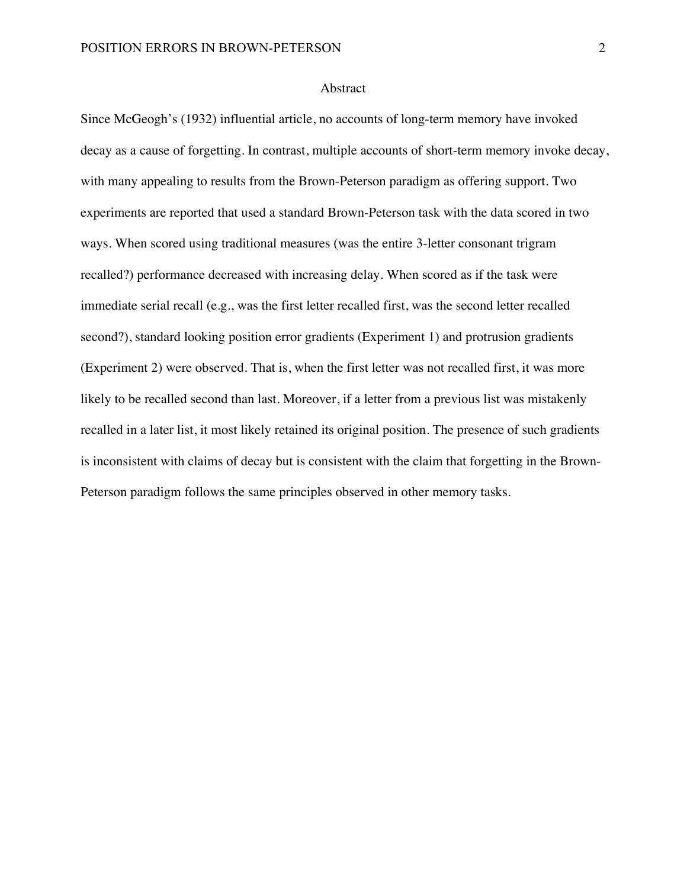### Abstract

Since McGeogh's (1932) influential article, no accounts of long-term memory have invoked decay as a cause of forgetting. In contrast, multiple accounts of short-term memory invoke decay, with many appealing to results from the Brown-Peterson paradigm as offering support. Two experiments are reported that used a standard Brown-Peterson task with the data scored in two ways. When scored using traditional measures (was the entire 3-letter consonant trigram recalled?) performance decreased with increasing delay. When scored as if the task were immediate serial recall (e.g., was the first letter recalled first, was the second letter recalled second?), standard looking position error gradients (Experiment 1) and protrusion gradients (Experiment 2) were observed. That is, when the first letter was not recalled first, it was more likely to be recalled second than last. Moreover, if a letter from a previous list was mistakenly recalled in a later list, it most likely retained its original position. The presence of such gradients is inconsistent with claims of decay but is consistent with the claim that forgetting in the Brown-Peterson paradigm follows the same principles observed in other memory tasks.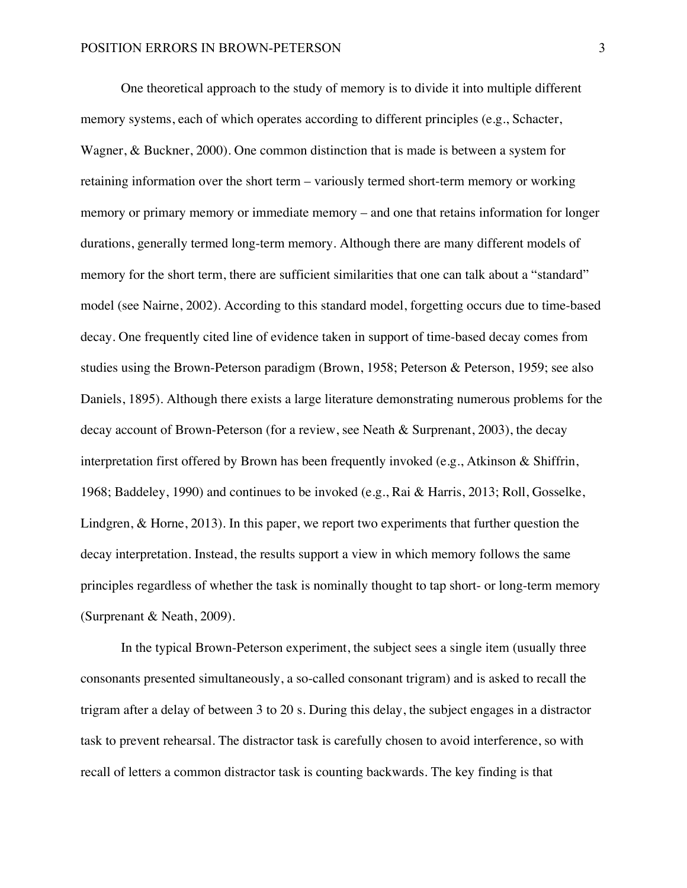One theoretical approach to the study of memory is to divide it into multiple different memory systems, each of which operates according to different principles (e.g., Schacter, Wagner, & Buckner, 2000). One common distinction that is made is between a system for retaining information over the short term – variously termed short-term memory or working memory or primary memory or immediate memory – and one that retains information for longer durations, generally termed long-term memory. Although there are many different models of memory for the short term, there are sufficient similarities that one can talk about a "standard" model (see Nairne, 2002). According to this standard model, forgetting occurs due to time-based decay. One frequently cited line of evidence taken in support of time-based decay comes from studies using the Brown-Peterson paradigm (Brown, 1958; Peterson & Peterson, 1959; see also Daniels, 1895). Although there exists a large literature demonstrating numerous problems for the decay account of Brown-Peterson (for a review, see Neath & Surprenant, 2003), the decay interpretation first offered by Brown has been frequently invoked (e.g., Atkinson & Shiffrin, 1968; Baddeley, 1990) and continues to be invoked (e.g., Rai & Harris, 2013; Roll, Gosselke, Lindgren, & Horne, 2013). In this paper, we report two experiments that further question the decay interpretation. Instead, the results support a view in which memory follows the same principles regardless of whether the task is nominally thought to tap short- or long-term memory (Surprenant & Neath, 2009).

In the typical Brown-Peterson experiment, the subject sees a single item (usually three consonants presented simultaneously, a so-called consonant trigram) and is asked to recall the trigram after a delay of between 3 to 20 s. During this delay, the subject engages in a distractor task to prevent rehearsal. The distractor task is carefully chosen to avoid interference, so with recall of letters a common distractor task is counting backwards. The key finding is that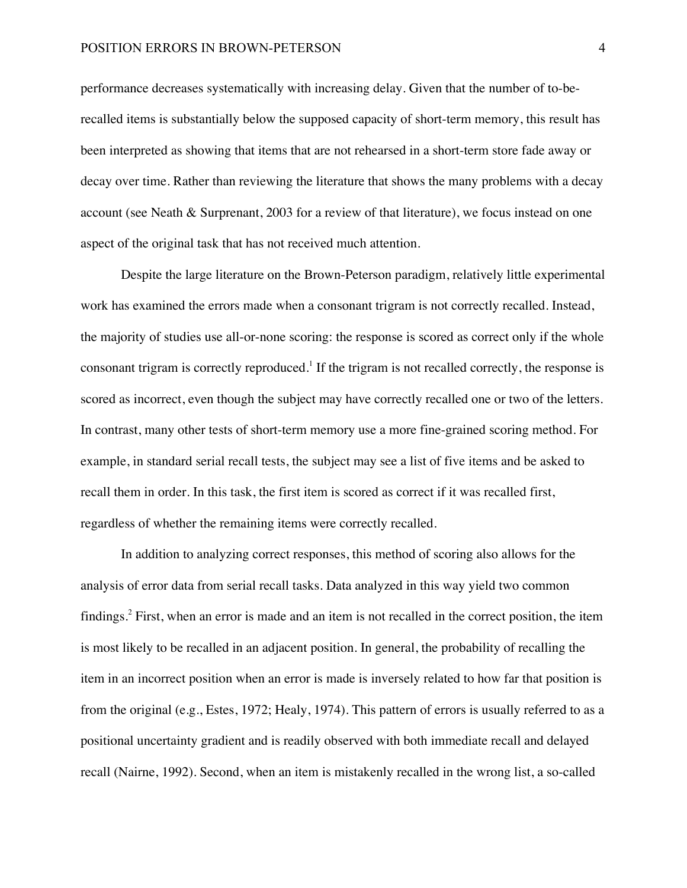performance decreases systematically with increasing delay. Given that the number of to-berecalled items is substantially below the supposed capacity of short-term memory, this result has been interpreted as showing that items that are not rehearsed in a short-term store fade away or decay over time. Rather than reviewing the literature that shows the many problems with a decay account (see Neath & Surprenant, 2003 for a review of that literature), we focus instead on one aspect of the original task that has not received much attention.

Despite the large literature on the Brown-Peterson paradigm, relatively little experimental work has examined the errors made when a consonant trigram is not correctly recalled. Instead, the majority of studies use all-or-none scoring: the response is scored as correct only if the whole consonant trigram is correctly reproduced.<sup>1</sup> If the trigram is not recalled correctly, the response is scored as incorrect, even though the subject may have correctly recalled one or two of the letters. In contrast, many other tests of short-term memory use a more fine-grained scoring method. For example, in standard serial recall tests, the subject may see a list of five items and be asked to recall them in order. In this task, the first item is scored as correct if it was recalled first, regardless of whether the remaining items were correctly recalled.

In addition to analyzing correct responses, this method of scoring also allows for the analysis of error data from serial recall tasks. Data analyzed in this way yield two common findings.<sup>2</sup> First, when an error is made and an item is not recalled in the correct position, the item is most likely to be recalled in an adjacent position. In general, the probability of recalling the item in an incorrect position when an error is made is inversely related to how far that position is from the original (e.g., Estes, 1972; Healy, 1974). This pattern of errors is usually referred to as a positional uncertainty gradient and is readily observed with both immediate recall and delayed recall (Nairne, 1992). Second, when an item is mistakenly recalled in the wrong list, a so-called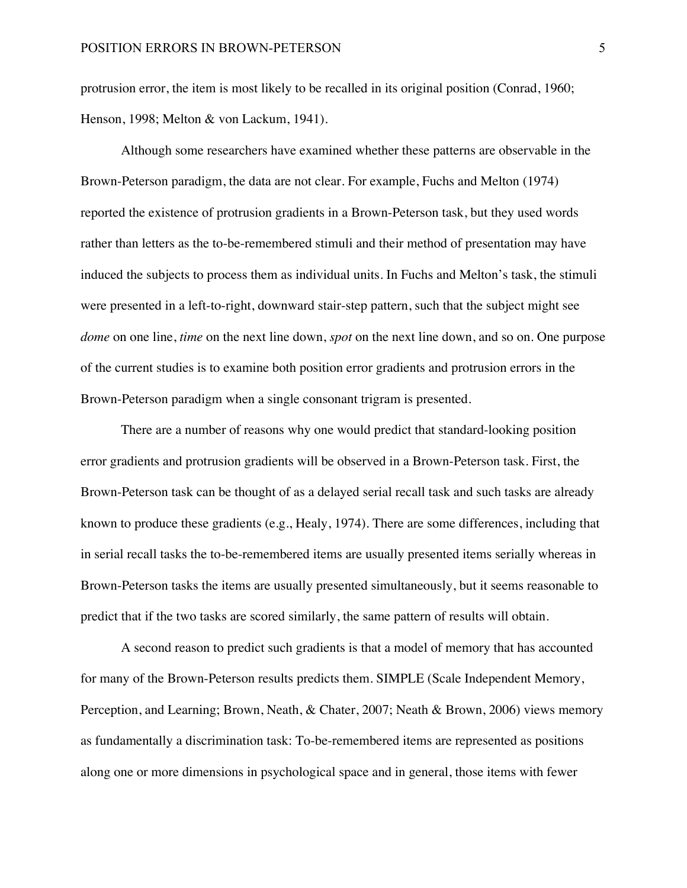protrusion error, the item is most likely to be recalled in its original position (Conrad, 1960; Henson, 1998; Melton & von Lackum, 1941).

Although some researchers have examined whether these patterns are observable in the Brown-Peterson paradigm, the data are not clear. For example, Fuchs and Melton (1974) reported the existence of protrusion gradients in a Brown-Peterson task, but they used words rather than letters as the to-be-remembered stimuli and their method of presentation may have induced the subjects to process them as individual units. In Fuchs and Melton's task, the stimuli were presented in a left-to-right, downward stair-step pattern, such that the subject might see *dome* on one line, *time* on the next line down, *spot* on the next line down, and so on. One purpose of the current studies is to examine both position error gradients and protrusion errors in the Brown-Peterson paradigm when a single consonant trigram is presented.

There are a number of reasons why one would predict that standard-looking position error gradients and protrusion gradients will be observed in a Brown-Peterson task. First, the Brown-Peterson task can be thought of as a delayed serial recall task and such tasks are already known to produce these gradients (e.g., Healy, 1974). There are some differences, including that in serial recall tasks the to-be-remembered items are usually presented items serially whereas in Brown-Peterson tasks the items are usually presented simultaneously, but it seems reasonable to predict that if the two tasks are scored similarly, the same pattern of results will obtain.

A second reason to predict such gradients is that a model of memory that has accounted for many of the Brown-Peterson results predicts them. SIMPLE (Scale Independent Memory, Perception, and Learning; Brown, Neath, & Chater, 2007; Neath & Brown, 2006) views memory as fundamentally a discrimination task: To-be-remembered items are represented as positions along one or more dimensions in psychological space and in general, those items with fewer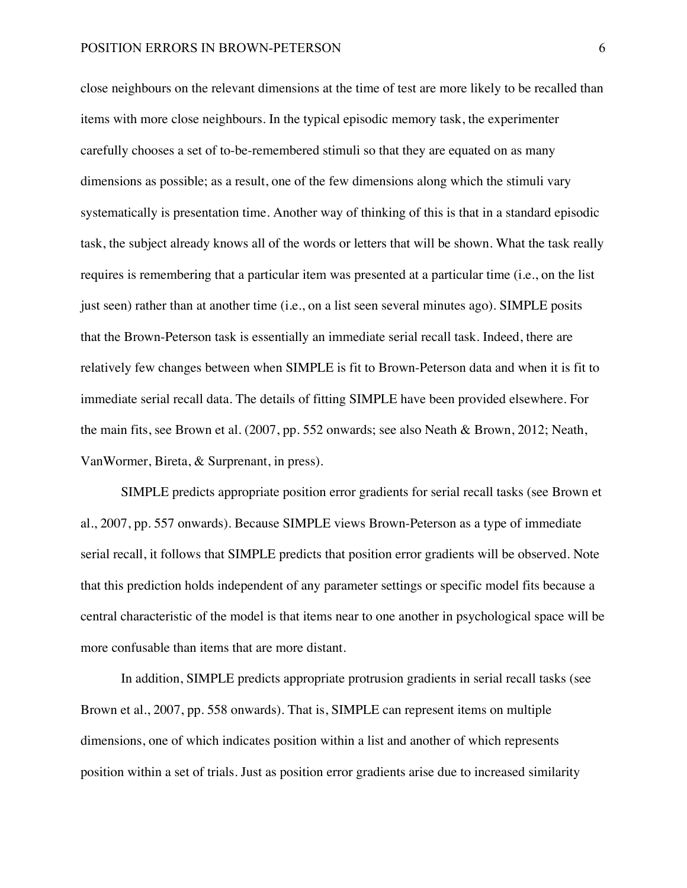close neighbours on the relevant dimensions at the time of test are more likely to be recalled than items with more close neighbours. In the typical episodic memory task, the experimenter carefully chooses a set of to-be-remembered stimuli so that they are equated on as many dimensions as possible; as a result, one of the few dimensions along which the stimuli vary systematically is presentation time. Another way of thinking of this is that in a standard episodic task, the subject already knows all of the words or letters that will be shown. What the task really requires is remembering that a particular item was presented at a particular time (i.e., on the list just seen) rather than at another time (i.e., on a list seen several minutes ago). SIMPLE posits that the Brown-Peterson task is essentially an immediate serial recall task. Indeed, there are relatively few changes between when SIMPLE is fit to Brown-Peterson data and when it is fit to immediate serial recall data. The details of fitting SIMPLE have been provided elsewhere. For the main fits, see Brown et al. (2007, pp. 552 onwards; see also Neath & Brown, 2012; Neath, VanWormer, Bireta, & Surprenant, in press).

SIMPLE predicts appropriate position error gradients for serial recall tasks (see Brown et al., 2007, pp. 557 onwards). Because SIMPLE views Brown-Peterson as a type of immediate serial recall, it follows that SIMPLE predicts that position error gradients will be observed. Note that this prediction holds independent of any parameter settings or specific model fits because a central characteristic of the model is that items near to one another in psychological space will be more confusable than items that are more distant.

In addition, SIMPLE predicts appropriate protrusion gradients in serial recall tasks (see Brown et al., 2007, pp. 558 onwards). That is, SIMPLE can represent items on multiple dimensions, one of which indicates position within a list and another of which represents position within a set of trials. Just as position error gradients arise due to increased similarity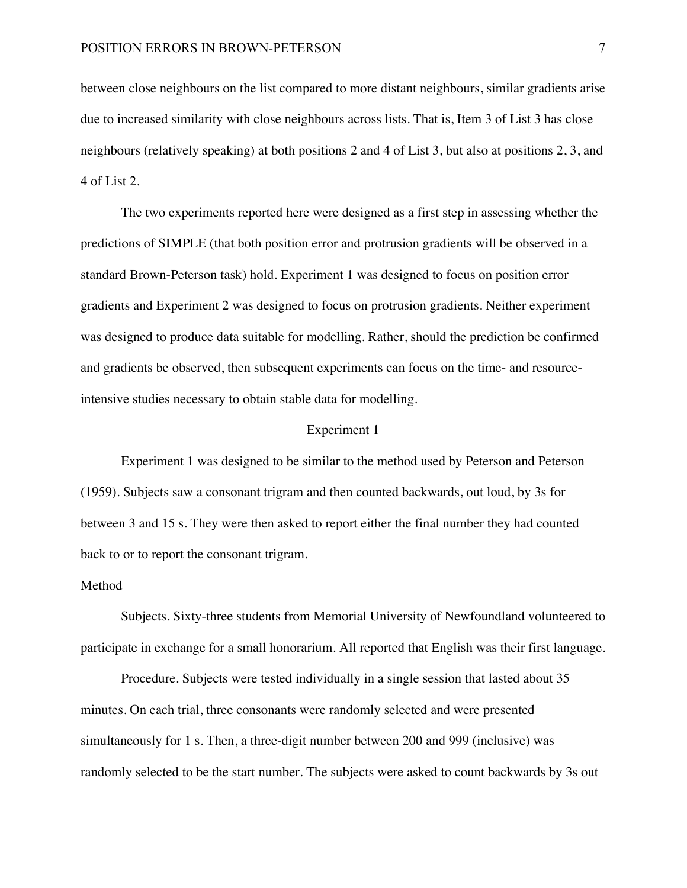between close neighbours on the list compared to more distant neighbours, similar gradients arise due to increased similarity with close neighbours across lists. That is, Item 3 of List 3 has close neighbours (relatively speaking) at both positions 2 and 4 of List 3, but also at positions 2, 3, and 4 of List 2.

The two experiments reported here were designed as a first step in assessing whether the predictions of SIMPLE (that both position error and protrusion gradients will be observed in a standard Brown-Peterson task) hold. Experiment 1 was designed to focus on position error gradients and Experiment 2 was designed to focus on protrusion gradients. Neither experiment was designed to produce data suitable for modelling. Rather, should the prediction be confirmed and gradients be observed, then subsequent experiments can focus on the time- and resourceintensive studies necessary to obtain stable data for modelling.

#### Experiment 1

Experiment 1 was designed to be similar to the method used by Peterson and Peterson (1959). Subjects saw a consonant trigram and then counted backwards, out loud, by 3s for between 3 and 15 s. They were then asked to report either the final number they had counted back to or to report the consonant trigram.

## Method

Subjects. Sixty-three students from Memorial University of Newfoundland volunteered to participate in exchange for a small honorarium. All reported that English was their first language.

Procedure. Subjects were tested individually in a single session that lasted about 35 minutes. On each trial, three consonants were randomly selected and were presented simultaneously for 1 s. Then, a three-digit number between 200 and 999 (inclusive) was randomly selected to be the start number. The subjects were asked to count backwards by 3s out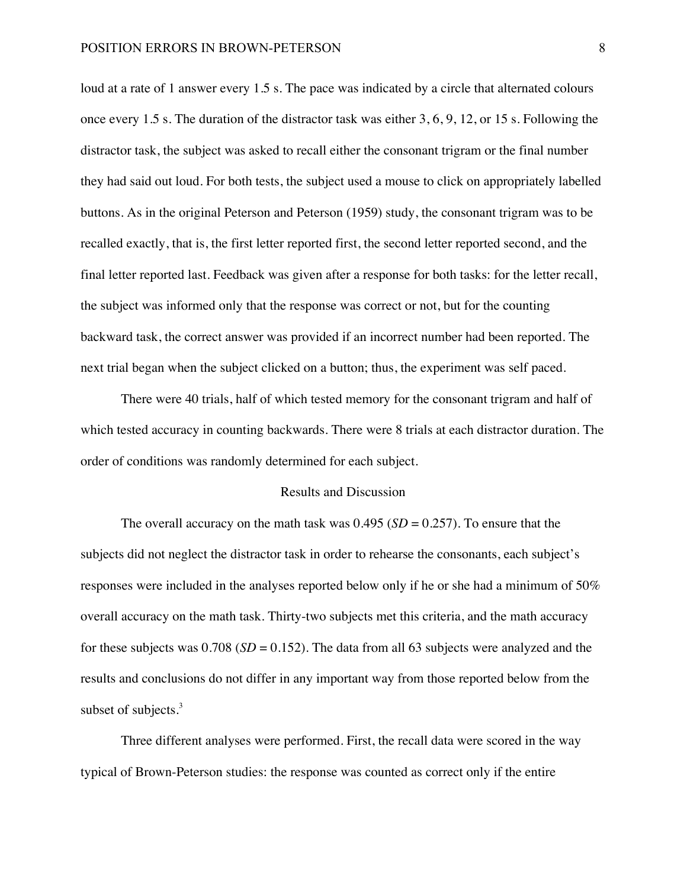loud at a rate of 1 answer every 1.5 s. The pace was indicated by a circle that alternated colours once every 1.5 s. The duration of the distractor task was either 3, 6, 9, 12, or 15 s. Following the distractor task, the subject was asked to recall either the consonant trigram or the final number they had said out loud. For both tests, the subject used a mouse to click on appropriately labelled buttons. As in the original Peterson and Peterson (1959) study, the consonant trigram was to be recalled exactly, that is, the first letter reported first, the second letter reported second, and the final letter reported last. Feedback was given after a response for both tasks: for the letter recall, the subject was informed only that the response was correct or not, but for the counting backward task, the correct answer was provided if an incorrect number had been reported. The next trial began when the subject clicked on a button; thus, the experiment was self paced.

There were 40 trials, half of which tested memory for the consonant trigram and half of which tested accuracy in counting backwards. There were 8 trials at each distractor duration. The order of conditions was randomly determined for each subject.

#### Results and Discussion

The overall accuracy on the math task was  $0.495$  (*SD* = 0.257). To ensure that the subjects did not neglect the distractor task in order to rehearse the consonants, each subject's responses were included in the analyses reported below only if he or she had a minimum of 50% overall accuracy on the math task. Thirty-two subjects met this criteria, and the math accuracy for these subjects was  $0.708$  (*SD* = 0.152). The data from all 63 subjects were analyzed and the results and conclusions do not differ in any important way from those reported below from the subset of subjects.<sup>3</sup>

Three different analyses were performed. First, the recall data were scored in the way typical of Brown-Peterson studies: the response was counted as correct only if the entire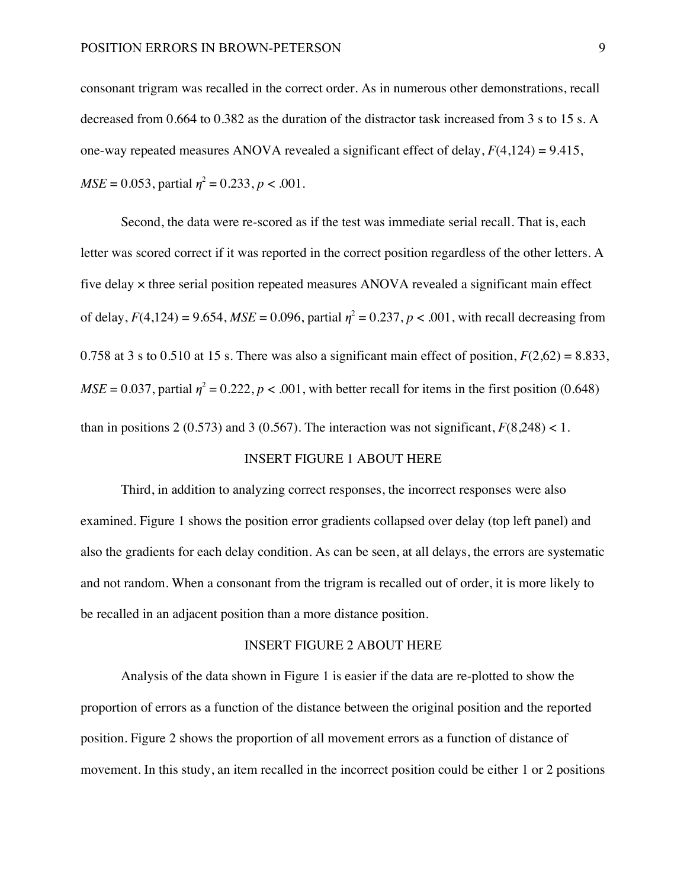consonant trigram was recalled in the correct order. As in numerous other demonstrations, recall decreased from 0.664 to 0.382 as the duration of the distractor task increased from 3 s to 15 s. A one-way repeated measures ANOVA revealed a significant effect of delay, *F*(4,124) = 9.415,  $MSE = 0.053$ , partial  $\eta^2 = 0.233$ ,  $p < .001$ .

Second, the data were re-scored as if the test was immediate serial recall. That is, each letter was scored correct if it was reported in the correct position regardless of the other letters. A five delay × three serial position repeated measures ANOVA revealed a significant main effect of delay,  $F(4,124) = 9.654$ ,  $MSE = 0.096$ , partial  $\eta^2 = 0.237$ ,  $p < .001$ , with recall decreasing from 0.758 at 3 s to 0.510 at 15 s. There was also a significant main effect of position,  $F(2,62) = 8.833$ ,  $MSE = 0.037$ , partial  $\eta^2 = 0.222$ ,  $p < .001$ , with better recall for items in the first position (0.648) than in positions 2 (0.573) and 3 (0.567). The interaction was not significant,  $F(8,248) < 1$ .

# INSERT FIGURE 1 ABOUT HERE

Third, in addition to analyzing correct responses, the incorrect responses were also examined. Figure 1 shows the position error gradients collapsed over delay (top left panel) and also the gradients for each delay condition. As can be seen, at all delays, the errors are systematic and not random. When a consonant from the trigram is recalled out of order, it is more likely to be recalled in an adjacent position than a more distance position.

## INSERT FIGURE 2 ABOUT HERE

Analysis of the data shown in Figure 1 is easier if the data are re-plotted to show the proportion of errors as a function of the distance between the original position and the reported position. Figure 2 shows the proportion of all movement errors as a function of distance of movement. In this study, an item recalled in the incorrect position could be either 1 or 2 positions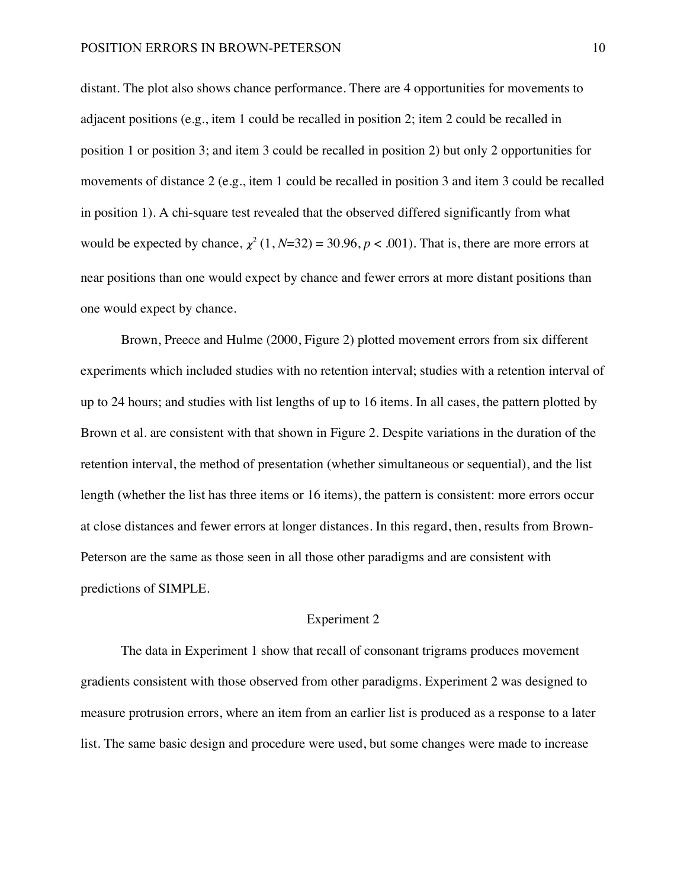distant. The plot also shows chance performance. There are 4 opportunities for movements to adjacent positions (e.g., item 1 could be recalled in position 2; item 2 could be recalled in position 1 or position 3; and item 3 could be recalled in position 2) but only 2 opportunities for movements of distance 2 (e.g., item 1 could be recalled in position 3 and item 3 could be recalled in position 1). A chi-square test revealed that the observed differed significantly from what would be expected by chance,  $\chi^2$  (1, *N*=32) = 30.96, *p* < .001). That is, there are more errors at near positions than one would expect by chance and fewer errors at more distant positions than one would expect by chance.

Brown, Preece and Hulme (2000, Figure 2) plotted movement errors from six different experiments which included studies with no retention interval; studies with a retention interval of up to 24 hours; and studies with list lengths of up to 16 items. In all cases, the pattern plotted by Brown et al. are consistent with that shown in Figure 2. Despite variations in the duration of the retention interval, the method of presentation (whether simultaneous or sequential), and the list length (whether the list has three items or 16 items), the pattern is consistent: more errors occur at close distances and fewer errors at longer distances. In this regard, then, results from Brown-Peterson are the same as those seen in all those other paradigms and are consistent with predictions of SIMPLE.

### Experiment 2

The data in Experiment 1 show that recall of consonant trigrams produces movement gradients consistent with those observed from other paradigms. Experiment 2 was designed to measure protrusion errors, where an item from an earlier list is produced as a response to a later list. The same basic design and procedure were used, but some changes were made to increase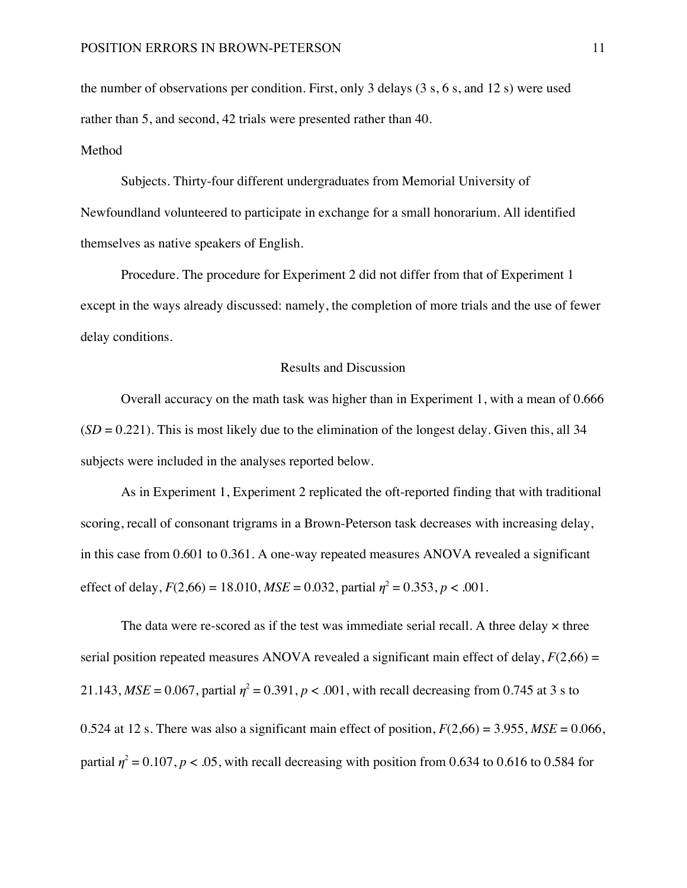the number of observations per condition. First, only 3 delays (3 s, 6 s, and 12 s) were used rather than 5, and second, 42 trials were presented rather than 40.

# Method

Subjects. Thirty-four different undergraduates from Memorial University of Newfoundland volunteered to participate in exchange for a small honorarium. All identified themselves as native speakers of English.

Procedure. The procedure for Experiment 2 did not differ from that of Experiment 1 except in the ways already discussed: namely, the completion of more trials and the use of fewer delay conditions.

## Results and Discussion

Overall accuracy on the math task was higher than in Experiment 1, with a mean of 0.666  $(SD = 0.221)$ . This is most likely due to the elimination of the longest delay. Given this, all 34 subjects were included in the analyses reported below.

As in Experiment 1, Experiment 2 replicated the oft-reported finding that with traditional scoring, recall of consonant trigrams in a Brown-Peterson task decreases with increasing delay, in this case from 0.601 to 0.361. A one-way repeated measures ANOVA revealed a significant effect of delay,  $F(2,66) = 18.010$ ,  $MSE = 0.032$ , partial  $\eta^2 = 0.353$ ,  $p < .001$ .

The data were re-scored as if the test was immediate serial recall. A three delay  $\times$  three serial position repeated measures ANOVA revealed a significant main effect of delay,  $F(2,66) =$ 21.143,  $MSE = 0.067$ , partial  $\eta^2 = 0.391$ ,  $p < .001$ , with recall decreasing from 0.745 at 3 s to 0.524 at 12 s. There was also a significant main effect of position,  $F(2,66) = 3.955$ ,  $MSE = 0.066$ , partial  $\eta^2$  = 0.107,  $p$  < .05, with recall decreasing with position from 0.634 to 0.616 to 0.584 for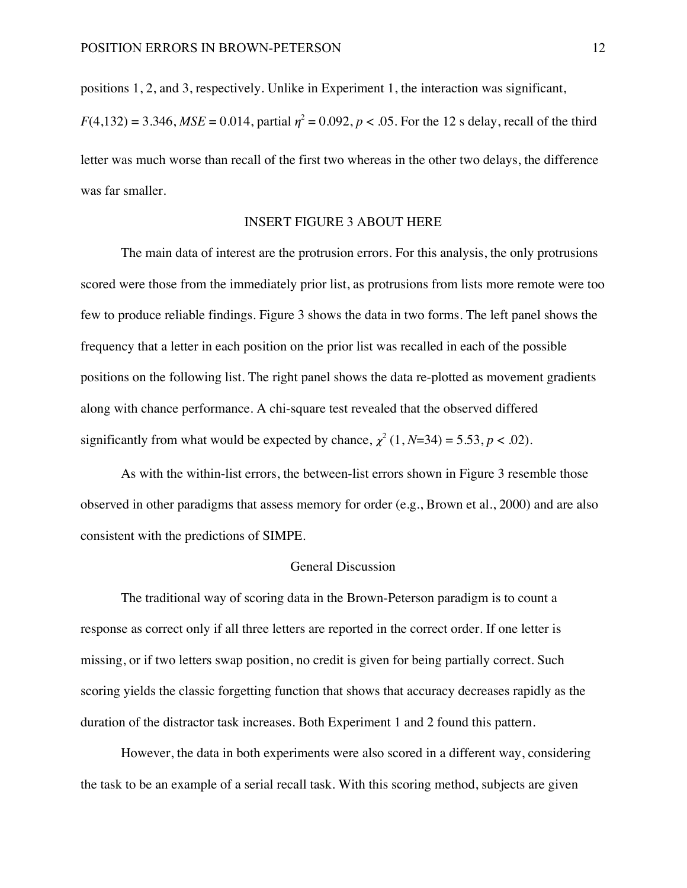positions 1, 2, and 3, respectively. Unlike in Experiment 1, the interaction was significant,

 $F(4,132) = 3.346$ , *MSE* = 0.014, partial  $\eta^2 = 0.092$ ,  $p < .05$ . For the 12 s delay, recall of the third letter was much worse than recall of the first two whereas in the other two delays, the difference was far smaller.

## INSERT FIGURE 3 ABOUT HERE

The main data of interest are the protrusion errors. For this analysis, the only protrusions scored were those from the immediately prior list, as protrusions from lists more remote were too few to produce reliable findings. Figure 3 shows the data in two forms. The left panel shows the frequency that a letter in each position on the prior list was recalled in each of the possible positions on the following list. The right panel shows the data re-plotted as movement gradients along with chance performance. A chi-square test revealed that the observed differed significantly from what would be expected by chance,  $\chi^2$  (1, *N*=34) = 5.53, *p* < .02).

As with the within-list errors, the between-list errors shown in Figure 3 resemble those observed in other paradigms that assess memory for order (e.g., Brown et al., 2000) and are also consistent with the predictions of SIMPE.

# General Discussion

The traditional way of scoring data in the Brown-Peterson paradigm is to count a response as correct only if all three letters are reported in the correct order. If one letter is missing, or if two letters swap position, no credit is given for being partially correct. Such scoring yields the classic forgetting function that shows that accuracy decreases rapidly as the duration of the distractor task increases. Both Experiment 1 and 2 found this pattern.

However, the data in both experiments were also scored in a different way, considering the task to be an example of a serial recall task. With this scoring method, subjects are given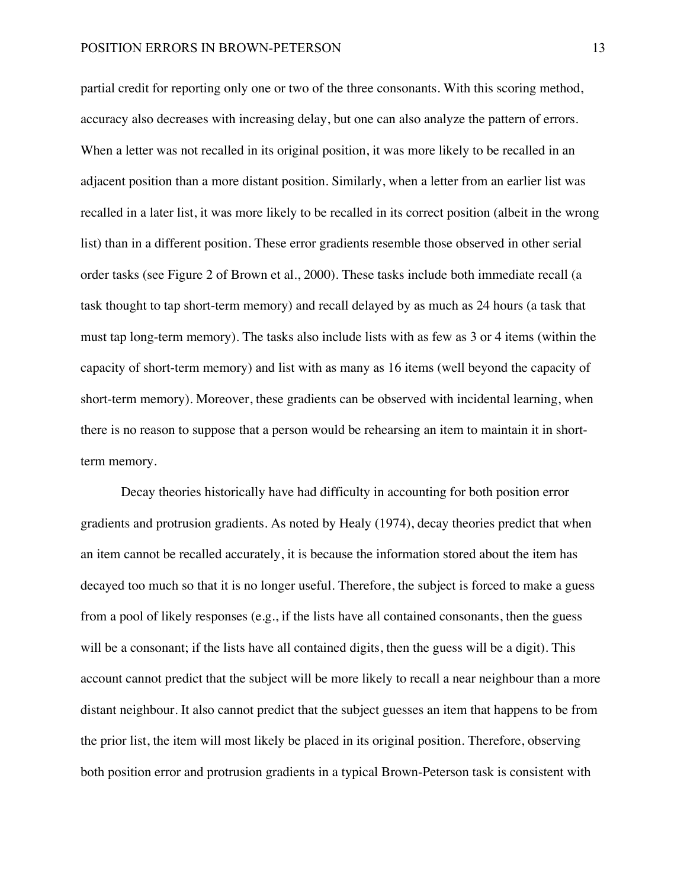partial credit for reporting only one or two of the three consonants. With this scoring method, accuracy also decreases with increasing delay, but one can also analyze the pattern of errors. When a letter was not recalled in its original position, it was more likely to be recalled in an adjacent position than a more distant position. Similarly, when a letter from an earlier list was recalled in a later list, it was more likely to be recalled in its correct position (albeit in the wrong list) than in a different position. These error gradients resemble those observed in other serial order tasks (see Figure 2 of Brown et al., 2000). These tasks include both immediate recall (a task thought to tap short-term memory) and recall delayed by as much as 24 hours (a task that must tap long-term memory). The tasks also include lists with as few as 3 or 4 items (within the capacity of short-term memory) and list with as many as 16 items (well beyond the capacity of short-term memory). Moreover, these gradients can be observed with incidental learning, when there is no reason to suppose that a person would be rehearsing an item to maintain it in shortterm memory.

Decay theories historically have had difficulty in accounting for both position error gradients and protrusion gradients. As noted by Healy (1974), decay theories predict that when an item cannot be recalled accurately, it is because the information stored about the item has decayed too much so that it is no longer useful. Therefore, the subject is forced to make a guess from a pool of likely responses (e.g., if the lists have all contained consonants, then the guess will be a consonant; if the lists have all contained digits, then the guess will be a digit). This account cannot predict that the subject will be more likely to recall a near neighbour than a more distant neighbour. It also cannot predict that the subject guesses an item that happens to be from the prior list, the item will most likely be placed in its original position. Therefore, observing both position error and protrusion gradients in a typical Brown-Peterson task is consistent with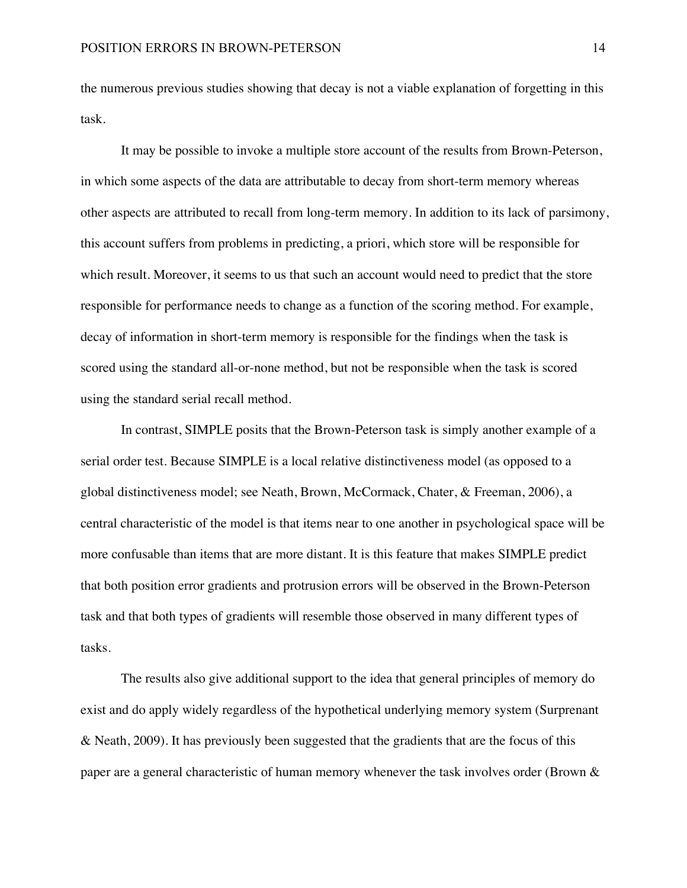the numerous previous studies showing that decay is not a viable explanation of forgetting in this task.

It may be possible to invoke a multiple store account of the results from Brown-Peterson, in which some aspects of the data are attributable to decay from short-term memory whereas other aspects are attributed to recall from long-term memory. In addition to its lack of parsimony, this account suffers from problems in predicting, a priori, which store will be responsible for which result. Moreover, it seems to us that such an account would need to predict that the store responsible for performance needs to change as a function of the scoring method. For example, decay of information in short-term memory is responsible for the findings when the task is scored using the standard all-or-none method, but not be responsible when the task is scored using the standard serial recall method.

In contrast, SIMPLE posits that the Brown-Peterson task is simply another example of a serial order test. Because SIMPLE is a local relative distinctiveness model (as opposed to a global distinctiveness model; see Neath, Brown, McCormack, Chater, & Freeman, 2006), a central characteristic of the model is that items near to one another in psychological space will be more confusable than items that are more distant. It is this feature that makes SIMPLE predict that both position error gradients and protrusion errors will be observed in the Brown-Peterson task and that both types of gradients will resemble those observed in many different types of tasks.

The results also give additional support to the idea that general principles of memory do exist and do apply widely regardless of the hypothetical underlying memory system (Surprenant & Neath, 2009). It has previously been suggested that the gradients that are the focus of this paper are a general characteristic of human memory whenever the task involves order (Brown &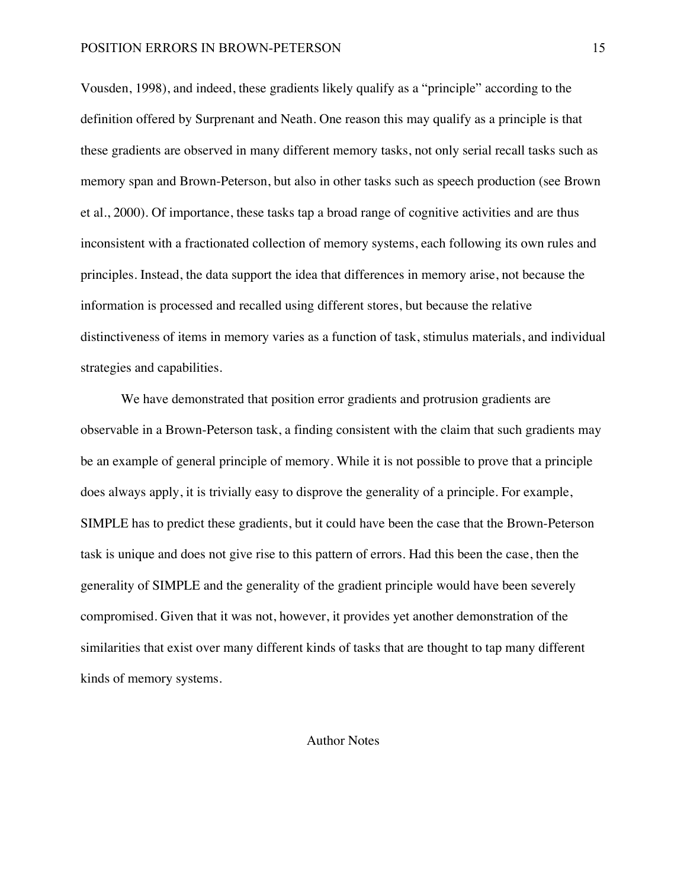## POSITION ERRORS IN BROWN-PETERSON 15

Vousden, 1998), and indeed, these gradients likely qualify as a "principle" according to the definition offered by Surprenant and Neath. One reason this may qualify as a principle is that these gradients are observed in many different memory tasks, not only serial recall tasks such as memory span and Brown-Peterson, but also in other tasks such as speech production (see Brown et al., 2000). Of importance, these tasks tap a broad range of cognitive activities and are thus inconsistent with a fractionated collection of memory systems, each following its own rules and principles. Instead, the data support the idea that differences in memory arise, not because the information is processed and recalled using different stores, but because the relative distinctiveness of items in memory varies as a function of task, stimulus materials, and individual strategies and capabilities.

We have demonstrated that position error gradients and protrusion gradients are observable in a Brown-Peterson task, a finding consistent with the claim that such gradients may be an example of general principle of memory. While it is not possible to prove that a principle does always apply, it is trivially easy to disprove the generality of a principle. For example, SIMPLE has to predict these gradients, but it could have been the case that the Brown-Peterson task is unique and does not give rise to this pattern of errors. Had this been the case, then the generality of SIMPLE and the generality of the gradient principle would have been severely compromised. Given that it was not, however, it provides yet another demonstration of the similarities that exist over many different kinds of tasks that are thought to tap many different kinds of memory systems.

# Author Notes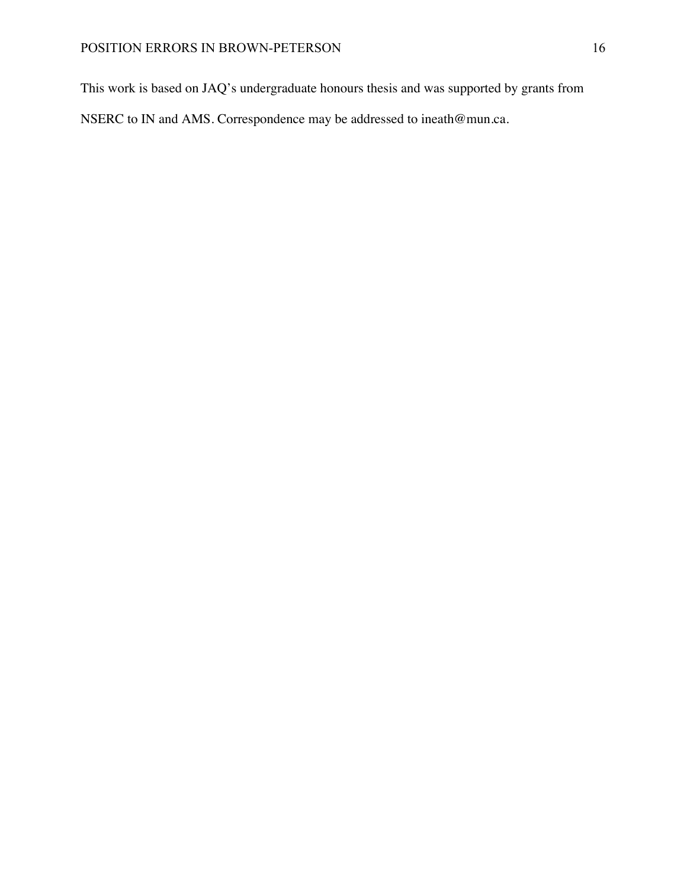This work is based on JAQ's undergraduate honours thesis and was supported by grants from

NSERC to IN and AMS. Correspondence may be addressed to ineath@mun.ca.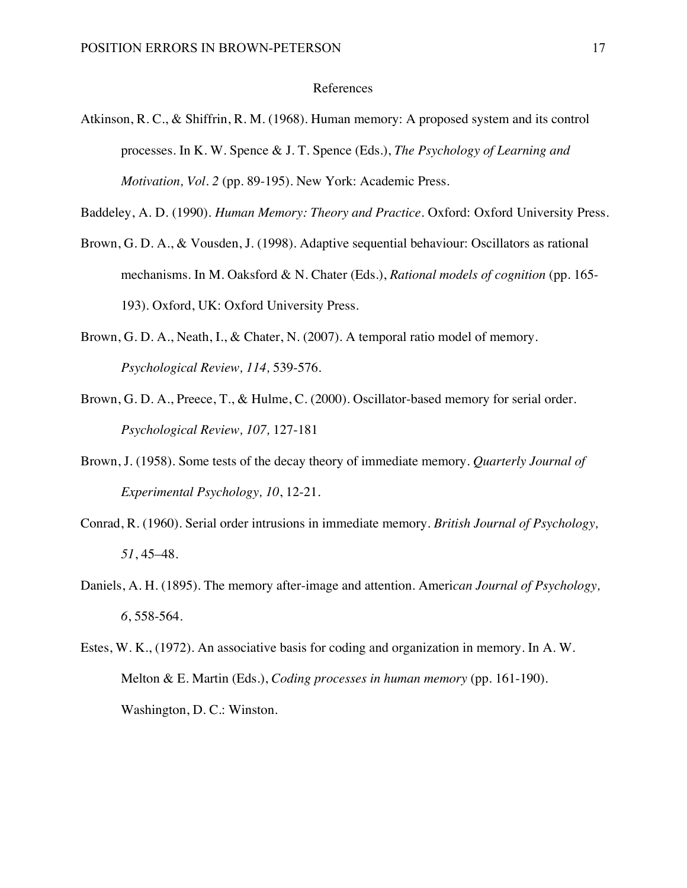### References

Atkinson, R. C., & Shiffrin, R. M. (1968). Human memory: A proposed system and its control processes. In K. W. Spence & J. T. Spence (Eds.), *The Psychology of Learning and Motivation, Vol. 2* (pp. 89-195). New York: Academic Press.

Baddeley, A. D. (1990). *Human Memory: Theory and Practice*. Oxford: Oxford University Press.

- Brown, G. D. A., & Vousden, J. (1998). Adaptive sequential behaviour: Oscillators as rational mechanisms. In M. Oaksford & N. Chater (Eds.), *Rational models of cognition* (pp. 165- 193). Oxford, UK: Oxford University Press.
- Brown, G. D. A., Neath, I., & Chater, N. (2007). A temporal ratio model of memory. *Psychological Review, 114,* 539-576.
- Brown, G. D. A., Preece, T., & Hulme, C. (2000). Oscillator-based memory for serial order. *Psychological Review, 107,* 127-181
- Brown, J. (1958). Some tests of the decay theory of immediate memory. *Quarterly Journal of Experimental Psychology, 10*, 12-21.
- Conrad, R. (1960). Serial order intrusions in immediate memory. *British Journal of Psychology, 51*, 45–48.
- Daniels, A. H. (1895). The memory after-image and attention. Ameri*can Journal of Psychology, 6*, 558-564.
- Estes, W. K., (1972). An associative basis for coding and organization in memory. In A. W. Melton & E. Martin (Eds.), *Coding processes in human memory* (pp. 161-190)*.*  Washington, D. C.: Winston.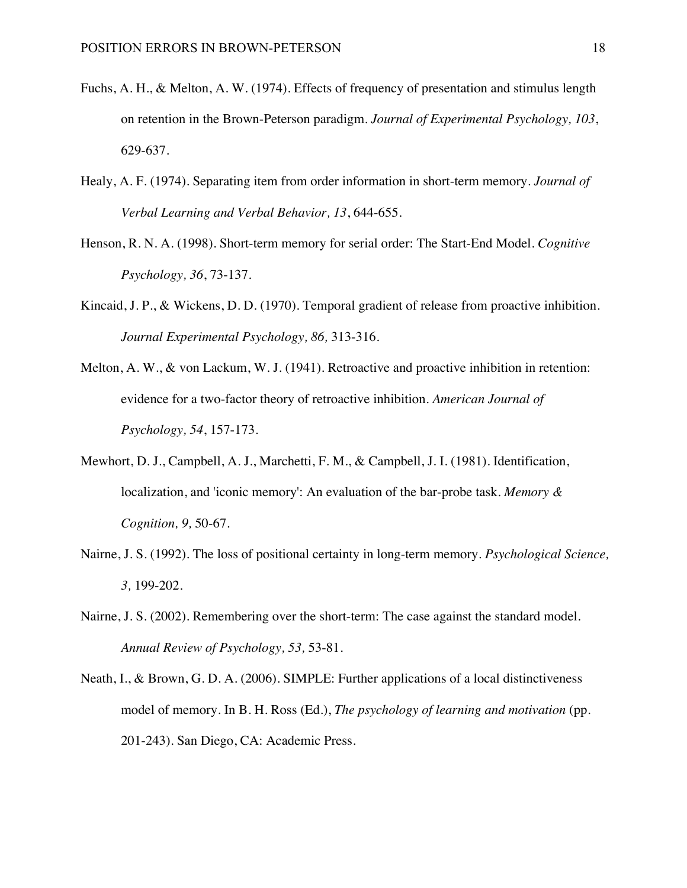- Fuchs, A. H., & Melton, A. W. (1974). Effects of frequency of presentation and stimulus length on retention in the Brown-Peterson paradigm. *Journal of Experimental Psychology, 103*, 629-637.
- Healy, A. F. (1974). Separating item from order information in short-term memory. *Journal of Verbal Learning and Verbal Behavior, 13*, 644-655.
- Henson, R. N. A. (1998). Short-term memory for serial order: The Start-End Model. *Cognitive Psychology, 36*, 73-137.
- Kincaid, J. P., & Wickens, D. D. (1970). Temporal gradient of release from proactive inhibition. *Journal Experimental Psychology, 86,* 313-316.
- Melton, A. W., & von Lackum, W. J. (1941). Retroactive and proactive inhibition in retention: evidence for a two-factor theory of retroactive inhibition. *American Journal of Psychology, 54*, 157-173.
- Mewhort, D. J., Campbell, A. J., Marchetti, F. M., & Campbell, J. I. (1981). Identification, localization, and 'iconic memory': An evaluation of the bar-probe task. *Memory & Cognition, 9,* 50-67.
- Nairne, J. S. (1992). The loss of positional certainty in long-term memory. *Psychological Science, 3,* 199-202.
- Nairne, J. S. (2002). Remembering over the short-term: The case against the standard model. *Annual Review of Psychology, 53,* 53-81.
- Neath, I., & Brown, G. D. A. (2006). SIMPLE: Further applications of a local distinctiveness model of memory. In B. H. Ross (Ed.), *The psychology of learning and motivation* (pp. 201-243). San Diego, CA: Academic Press.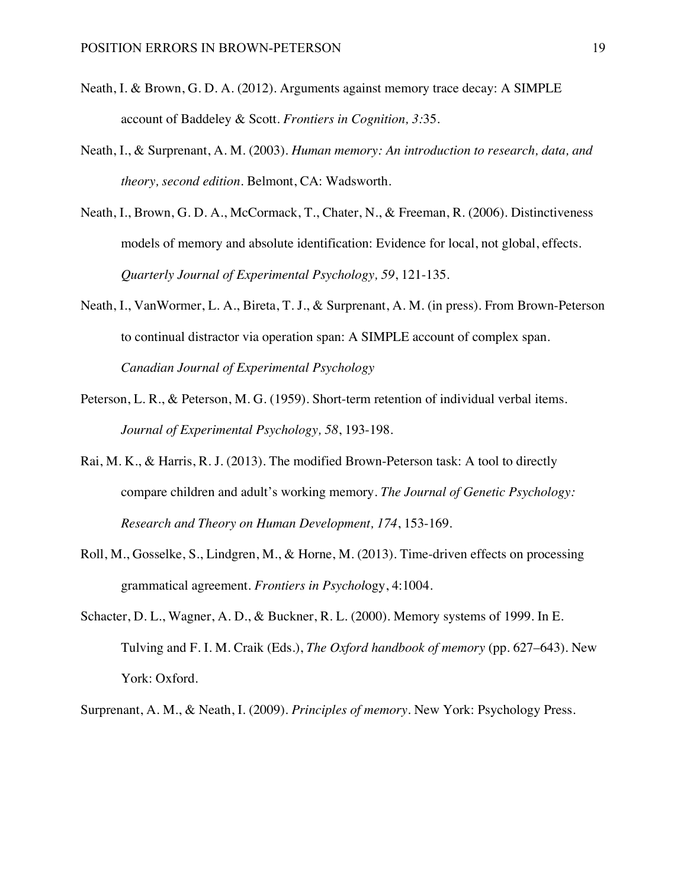- Neath, I. & Brown, G. D. A. (2012). Arguments against memory trace decay: A SIMPLE account of Baddeley & Scott. *Frontiers in Cognition, 3:*35.
- Neath, I., & Surprenant, A. M. (2003). *Human memory: An introduction to research, data, and theory, second edition*. Belmont, CA: Wadsworth.
- Neath, I., Brown, G. D. A., McCormack, T., Chater, N., & Freeman, R. (2006). Distinctiveness models of memory and absolute identification: Evidence for local, not global, effects. *Quarterly Journal of Experimental Psychology, 59*, 121-135.
- Neath, I., VanWormer, L. A., Bireta, T. J., & Surprenant, A. M. (in press). From Brown-Peterson to continual distractor via operation span: A SIMPLE account of complex span. *Canadian Journal of Experimental Psychology*
- Peterson, L. R., & Peterson, M. G. (1959). Short-term retention of individual verbal items. *Journal of Experimental Psychology, 58*, 193-198.
- Rai, M. K., & Harris, R. J. (2013). The modified Brown-Peterson task: A tool to directly compare children and adult's working memory. *The Journal of Genetic Psychology: Research and Theory on Human Development, 174*, 153-169.
- Roll, M., Gosselke, S., Lindgren, M., & Horne, M. (2013). Time-driven effects on processing grammatical agreement. *Frontiers in Psychol*ogy, 4:1004.
- Schacter, D. L., Wagner, A. D., & Buckner, R. L. (2000). Memory systems of 1999. In E. Tulving and F. I. M. Craik (Eds.), *The Oxford handbook of memory* (pp. 627–643). New York: Oxford.
- Surprenant, A. M., & Neath, I. (2009). *Principles of memory*. New York: Psychology Press.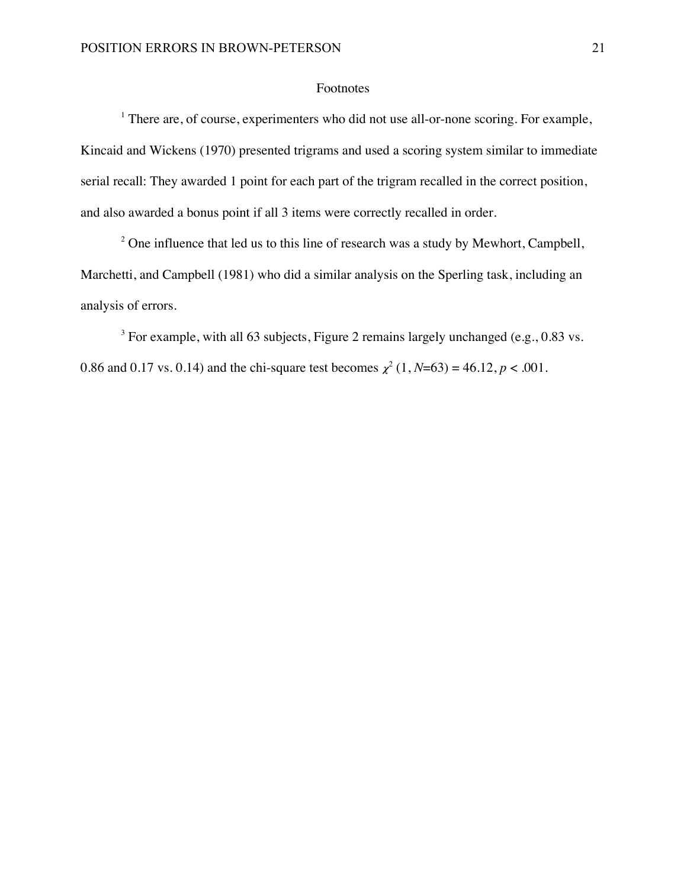## Footnotes

<sup>1</sup> There are, of course, experimenters who did not use all-or-none scoring. For example, Kincaid and Wickens (1970) presented trigrams and used a scoring system similar to immediate serial recall: They awarded 1 point for each part of the trigram recalled in the correct position, and also awarded a bonus point if all 3 items were correctly recalled in order.

<sup>2</sup> One influence that led us to this line of research was a study by Mewhort, Campbell, Marchetti, and Campbell (1981) who did a similar analysis on the Sperling task, including an analysis of errors.

 $3$  For example, with all 63 subjects, Figure 2 remains largely unchanged (e.g., 0.83 vs.) 0.86 and 0.17 vs. 0.14) and the chi-square test becomes  $\chi^2$  (1, *N*=63) = 46.12, *p* < .001.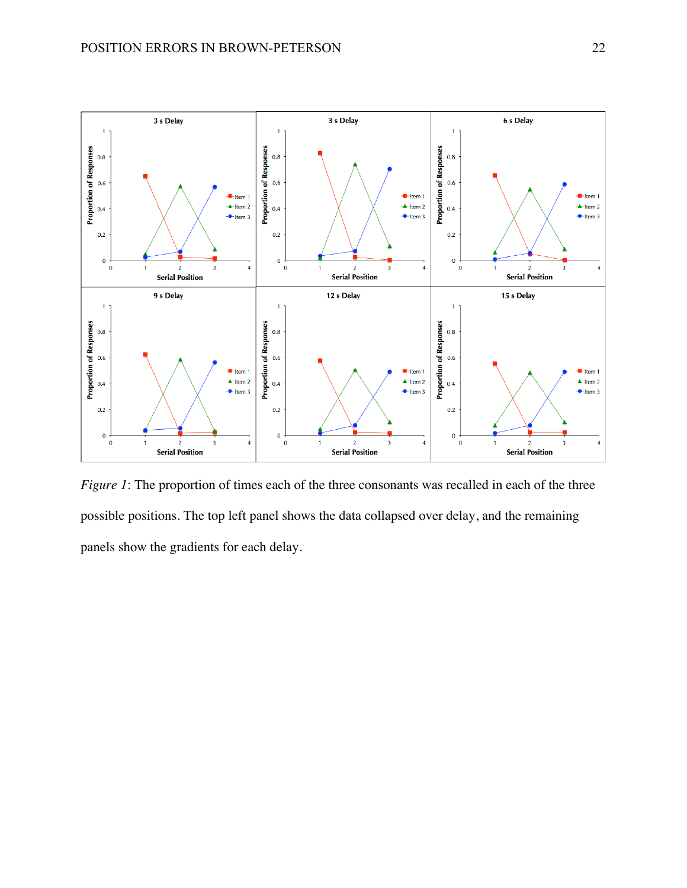

*Figure 1*: The proportion of times each of the three consonants was recalled in each of the three possible positions. The top left panel shows the data collapsed over delay, and the remaining panels show the gradients for each delay.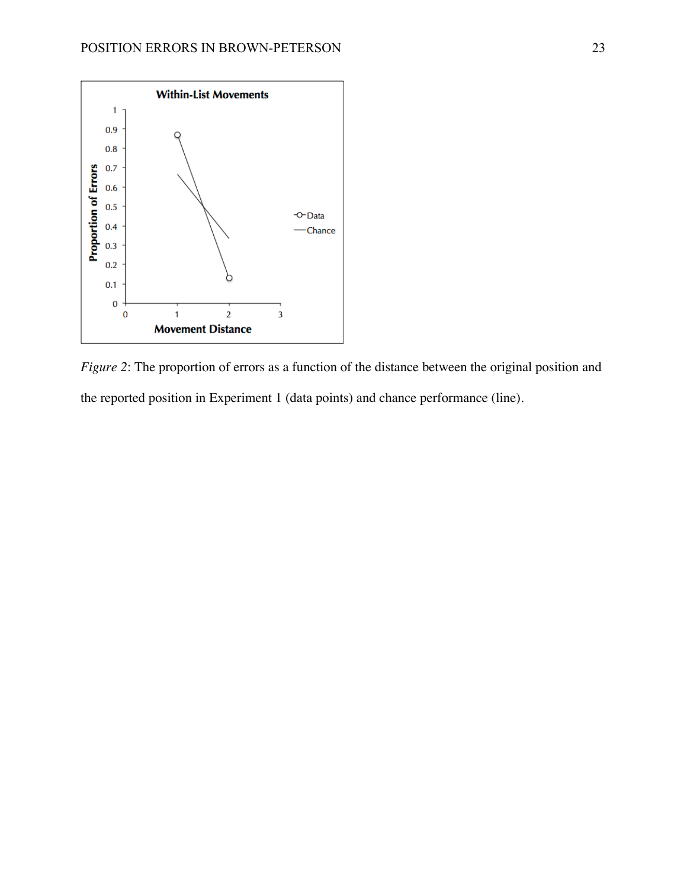

*Figure 2*: The proportion of errors as a function of the distance between the original position and the reported position in Experiment 1 (data points) and chance performance (line).